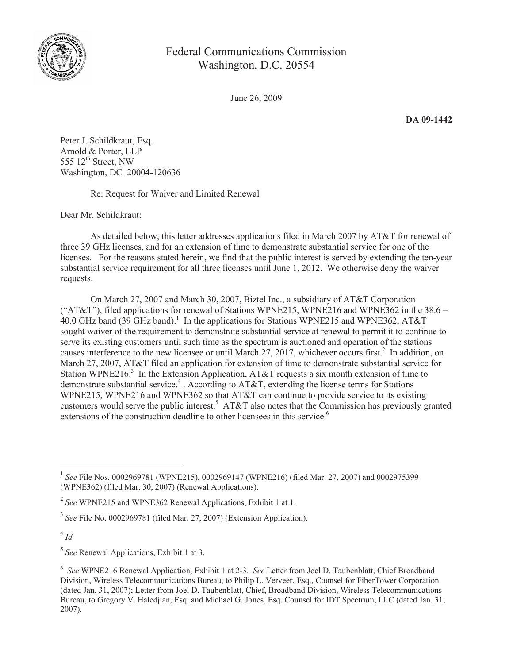

## Federal Communications Commission Washington, D.C. 20554

June 26, 2009

**DA 09-1442**

Peter J. Schildkraut, Esq. Arnold & Porter, LLP 555  $12<sup>th</sup>$  Street, NW Washington, DC 20004-120636

Re: Request for Waiver and Limited Renewal

Dear Mr. Schildkraut:

As detailed below, this letter addresses applications filed in March 2007 by AT&T for renewal of three 39 GHz licenses, and for an extension of time to demonstrate substantial service for one of the licenses. For the reasons stated herein, we find that the public interest is served by extending the ten-year substantial service requirement for all three licenses until June 1, 2012. We otherwise deny the waiver requests.

On March 27, 2007 and March 30, 2007, Biztel Inc., a subsidiary of AT&T Corporation ("AT&T"), filed applications for renewal of Stations WPNE215, WPNE216 and WPNE362 in the  $38.6 -$ 40.0 GHz band (39 GHz band).<sup>1</sup> In the applications for Stations WPNE215 and WPNE362, AT&T sought waiver of the requirement to demonstrate substantial service at renewal to permit it to continue to serve its existing customers until such time as the spectrum is auctioned and operation of the stations causes interference to the new licensee or until March 27, 2017, whichever occurs first.<sup>2</sup> In addition, on March 27, 2007, AT&T filed an application for extension of time to demonstrate substantial service for Station WPNE216.<sup>3</sup> In the Extension Application, AT&T requests a six month extension of time to demonstrate substantial service.<sup>4</sup>. According to AT&T, extending the license terms for Stations WPNE215, WPNE216 and WPNE362 so that AT&T can continue to provide service to its existing customers would serve the public interest.<sup>5</sup> AT&T also notes that the Commission has previously granted extensions of the construction deadline to other licensees in this service.<sup>6</sup>

4 *Id.*

<sup>1</sup> *See* File Nos. 0002969781 (WPNE215), 0002969147 (WPNE216) (filed Mar. 27, 2007) and 0002975399 (WPNE362) (filed Mar. 30, 2007) (Renewal Applications).

<sup>2</sup> *See* WPNE215 and WPNE362 Renewal Applications, Exhibit 1 at 1.

<sup>3</sup> *See* File No. 0002969781 (filed Mar. 27, 2007) (Extension Application).

<sup>5</sup> *See* Renewal Applications, Exhibit 1 at 3.

<sup>6</sup> *See* WPNE216 Renewal Application, Exhibit 1 at 2-3. *See* Letter from Joel D. Taubenblatt, Chief Broadband Division, Wireless Telecommunications Bureau, to Philip L. Verveer, Esq., Counsel for FiberTower Corporation (dated Jan. 31, 2007); Letter from Joel D. Taubenblatt, Chief, Broadband Division, Wireless Telecommunications Bureau, to Gregory V. Haledjian, Esq. and Michael G. Jones, Esq. Counsel for IDT Spectrum, LLC (dated Jan. 31, 2007).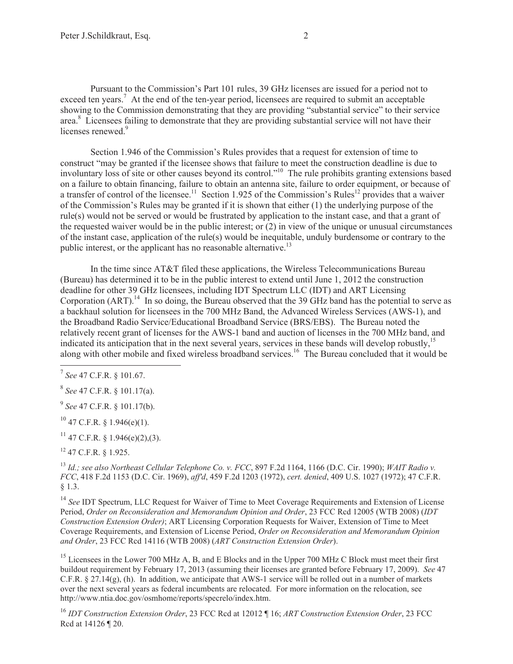Pursuant to the Commission's Part 101 rules, 39 GHz licenses are issued for a period not to exceed ten years.<sup>7</sup> At the end of the ten-year period, licensees are required to submit an acceptable showing to the Commission demonstrating that they are providing "substantial service" to their service area.<sup>8</sup> Licensees failing to demonstrate that they are providing substantial service will not have their licenses renewed.<sup>9</sup>

Section 1.946 of the Commission's Rules provides that a request for extension of time to construct "may be granted if the licensee shows that failure to meet the construction deadline is due to involuntary loss of site or other causes beyond its control."<sup>10</sup> The rule prohibits granting extensions based on a failure to obtain financing, failure to obtain an antenna site, failure to order equipment, or because of a transfer of control of the licensee.<sup>11</sup> Section 1.925 of the Commission's Rules<sup>12</sup> provides that a waiver of the Commission's Rules may be granted if it is shown that either (1) the underlying purpose of the rule(s) would not be served or would be frustrated by application to the instant case, and that a grant of the requested waiver would be in the public interest; or (2) in view of the unique or unusual circumstances of the instant case, application of the rule(s) would be inequitable, unduly burdensome or contrary to the public interest, or the applicant has no reasonable alternative.<sup>13</sup>

In the time since AT&T filed these applications, the Wireless Telecommunications Bureau (Bureau) has determined it to be in the public interest to extend until June 1, 2012 the construction deadline for other 39 GHz licensees, including IDT Spectrum LLC (IDT) and ART Licensing Corporation  $(ART)$ <sup>14</sup>. In so doing, the Bureau observed that the 39 GHz band has the potential to serve as a backhaul solution for licensees in the 700 MHz Band, the Advanced Wireless Services (AWS-1), and the Broadband Radio Service/Educational Broadband Service (BRS/EBS). The Bureau noted the relatively recent grant of licenses for the AWS-1 band and auction of licenses in the 700 MHz band, and indicated its anticipation that in the next several years, services in these bands will develop robustly,<sup>15</sup> along with other mobile and fixed wireless broadband services.<sup>16</sup> The Bureau concluded that it would be

9 *See* 47 C.F.R. § 101.17(b).

 $^{10}$  47 C.F.R. § 1.946(e)(1).

 $11$  47 C.F.R. § 1.946(e)(2),(3).

<sup>12</sup> 47 C.F.R. § 1.925.

<sup>13</sup> *Id.; see also Northeast Cellular Telephone Co. v. FCC*, 897 F.2d 1164, 1166 (D.C. Cir. 1990); *WAIT Radio v. FCC*, 418 F.2d 1153 (D.C. Cir. 1969), *aff'd*, 459 F.2d 1203 (1972), *cert. denied*, 409 U.S. 1027 (1972); 47 C.F.R. § 1.3.

<sup>14</sup> See IDT Spectrum, LLC Request for Waiver of Time to Meet Coverage Requirements and Extension of License Period, *Order on Reconsideration and Memorandum Opinion and Order*, 23 FCC Rcd 12005 (WTB 2008) (*IDT Construction Extension Order)*; ART Licensing Corporation Requests for Waiver, Extension of Time to Meet Coverage Requirements, and Extension of License Period, *Order on Reconsideration and Memorandum Opinion and Order*, 23 FCC Rcd 14116 (WTB 2008) (*ART Construction Extension Order*).

<sup>15</sup> Licensees in the Lower 700 MHz A, B, and E Blocks and in the Upper 700 MHz C Block must meet their first buildout requirement by February 17, 2013 (assuming their licenses are granted before February 17, 2009). *See* 47 C.F.R. § 27.14(g), (h). In addition, we anticipate that AWS-1 service will be rolled out in a number of markets over the next several years as federal incumbents are relocated. For more information on the relocation, see http://www.ntia.doc.gov/osmhome/reports/specrelo/index.htm.

<sup>16</sup> *IDT Construction Extension Order*, 23 FCC Rcd at 12012 ¶ 16; *ART Construction Extension Order*, 23 FCC Rcd at 14126 ¶ 20.

<sup>7</sup> *See* 47 C.F.R. § 101.67.

<sup>8</sup> *See* 47 C.F.R. § 101.17(a).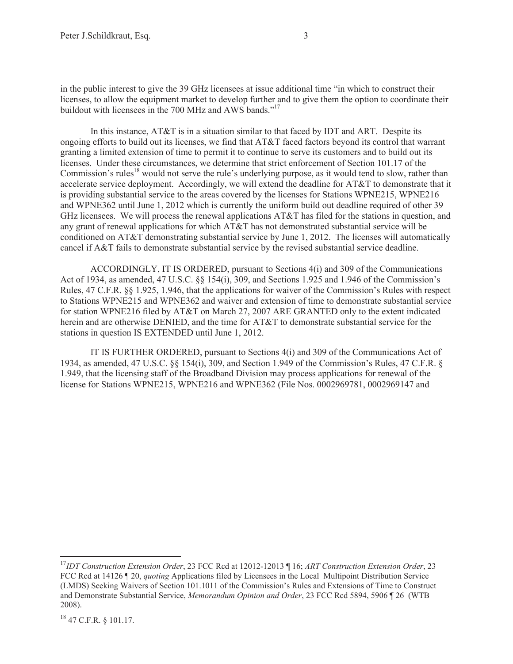in the public interest to give the 39 GHz licensees at issue additional time "in which to construct their licenses, to allow the equipment market to develop further and to give them the option to coordinate their buildout with licensees in the 700 MHz and AWS bands."<sup>17</sup>

In this instance, AT&T is in a situation similar to that faced by IDT and ART. Despite its ongoing efforts to build out its licenses, we find that AT&T faced factors beyond its control that warrant granting a limited extension of time to permit it to continue to serve its customers and to build out its licenses. Under these circumstances, we determine that strict enforcement of Section 101.17 of the Commission's rules<sup>18</sup> would not serve the rule's underlying purpose, as it would tend to slow, rather than accelerate service deployment. Accordingly, we will extend the deadline for AT&T to demonstrate that it is providing substantial service to the areas covered by the licenses for Stations WPNE215, WPNE216 and WPNE362 until June 1, 2012 which is currently the uniform build out deadline required of other 39 GHz licensees. We will process the renewal applications AT&T has filed for the stations in question, and any grant of renewal applications for which AT&T has not demonstrated substantial service will be conditioned on AT&T demonstrating substantial service by June 1, 2012. The licenses will automatically cancel if A&T fails to demonstrate substantial service by the revised substantial service deadline.

ACCORDINGLY, IT IS ORDERED, pursuant to Sections 4(i) and 309 of the Communications Act of 1934, as amended, 47 U.S.C. §§ 154(i), 309, and Sections 1.925 and 1.946 of the Commission's Rules, 47 C.F.R. §§ 1.925, 1.946, that the applications for waiver of the Commission's Rules with respect to Stations WPNE215 and WPNE362 and waiver and extension of time to demonstrate substantial service for station WPNE216 filed by AT&T on March 27, 2007 ARE GRANTED only to the extent indicated herein and are otherwise DENIED, and the time for AT&T to demonstrate substantial service for the stations in question IS EXTENDED until June 1, 2012.

IT IS FURTHER ORDERED, pursuant to Sections 4(i) and 309 of the Communications Act of 1934, as amended, 47 U.S.C. §§ 154(i), 309, and Section 1.949 of the Commission's Rules, 47 C.F.R. § 1.949, that the licensing staff of the Broadband Division may process applications for renewal of the license for Stations WPNE215, WPNE216 and WPNE362 (File Nos. 0002969781, 0002969147 and

<sup>17</sup>*IDT Construction Extension Order*, 23 FCC Rcd at 12012-12013 ¶ 16; *ART Construction Extension Order*, 23 FCC Rcd at 14126 ¶ 20, *quoting* Applications filed by Licensees in the Local Multipoint Distribution Service (LMDS) Seeking Waivers of Section 101.1011 of the Commission's Rules and Extensions of Time to Construct and Demonstrate Substantial Service, *Memorandum Opinion and Order*, 23 FCC Rcd 5894, 5906 ¶ 26 (WTB 2008).